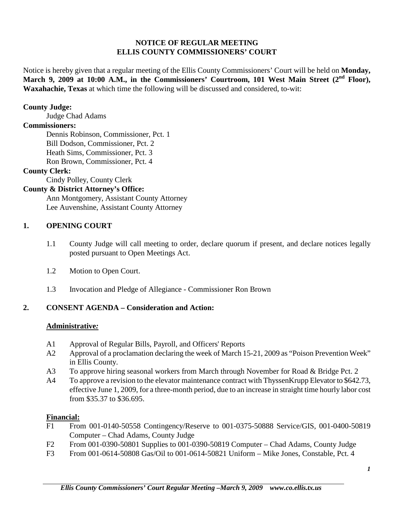## **NOTICE OF REGULAR MEETING ELLIS COUNTY COMMISSIONERS' COURT**

Notice is hereby given that a regular meeting of the Ellis County Commissioners' Court will be held on **Monday, March 9, 2009 at 10:00 A.M., in the Commissioners' Courtroom, 101 West Main Street (2nd Floor), Waxahachie, Texas** at which time the following will be discussed and considered, to-wit:

### **County Judge:**

Judge Chad Adams

#### **Commissioners:**

Dennis Robinson, Commissioner, Pct. 1 Bill Dodson, Commissioner, Pct. 2 Heath Sims, Commissioner, Pct. 3 Ron Brown, Commissioner, Pct. 4

## **County Clerk:**

Cindy Polley, County Clerk

## **County & District Attorney's Office:**

Ann Montgomery, Assistant County Attorney Lee Auvenshine, Assistant County Attorney

## **1. OPENING COURT**

- 1.1 County Judge will call meeting to order, declare quorum if present, and declare notices legally posted pursuant to Open Meetings Act.
- 1.2 Motion to Open Court.
- 1.3 Invocation and Pledge of Allegiance Commissioner Ron Brown

## **2. CONSENT AGENDA – Consideration and Action:**

## **Administrative***:*

- A1 Approval of Regular Bills, Payroll, and Officers' Reports
- A2 Approval of a proclamation declaring the week of March 15-21, 2009 as "Poison Prevention Week" in Ellis County.
- A3 To approve hiring seasonal workers from March through November for Road & Bridge Pct. 2
- A4 To approve a revision to the elevator maintenance contract with ThyssenKrupp Elevator to \$642.73, effective June 1, 2009, for a three-month period, due to an increase in straight time hourly labor cost from \$35.37 to \$36.695.

#### **Financial:**

- F1 From 001-0140-50558 Contingency/Reserve to 001-0375-50888 Service/GIS, 001-0400-50819 Computer – Chad Adams, County Judge
- F2 From 001-0390-50801 Supplies to 001-0390-50819 Computer Chad Adams, County Judge
- F3 From 001-0614-50808 Gas/Oil to 001-0614-50821 Uniform Mike Jones, Constable, Pct. 4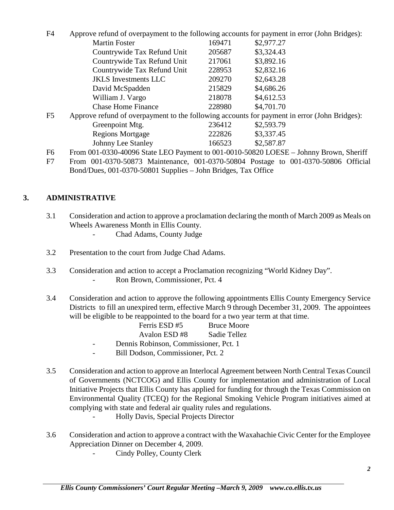| F <sub>4</sub> | Approve refund of overpayment to the following accounts for payment in error (John Bridges): |        |            |
|----------------|----------------------------------------------------------------------------------------------|--------|------------|
|                | <b>Martin Foster</b>                                                                         | 169471 | \$2,977.27 |
|                | Countrywide Tax Refund Unit                                                                  | 205687 | \$3,324.43 |
|                | Countrywide Tax Refund Unit                                                                  | 217061 | \$3,892.16 |
|                | Countrywide Tax Refund Unit                                                                  | 228953 | \$2,832.16 |
|                | <b>JKLS</b> Investments LLC                                                                  | 209270 | \$2,643.28 |
|                | David McSpadden                                                                              | 215829 | \$4,686.26 |
|                | William J. Vargo                                                                             | 218078 | \$4,612.53 |
|                | <b>Chase Home Finance</b>                                                                    | 228980 | \$4,701.70 |
| F <sub>5</sub> | Approve refund of overpayment to the following accounts for payment in error (John Bridges): |        |            |
|                | Greenpoint Mtg.                                                                              | 236412 | \$2,593.79 |
|                | <b>Regions Mortgage</b>                                                                      | 222826 | \$3,337.45 |
|                | Johnny Lee Stanley                                                                           | 166523 | \$2,587.87 |
| F <sub>6</sub> | From 001-0330-40096 State LEO Payment to 001-0010-50820 LOESE – Johnny Brown, Sheriff        |        |            |
|                |                                                                                              |        |            |

F7 From 001-0370-50873 Maintenance, 001-0370-50804 Postage to 001-0370-50806 Official Bond/Dues, 001-0370-50801 Supplies – John Bridges, Tax Office

# **3. ADMINISTRATIVE**

- 3.1 Consideration and action to approve a proclamation declaring the month of March 2009 as Meals on Wheels Awareness Month in Ellis County.
	- Chad Adams, County Judge
- 3.2 Presentation to the court from Judge Chad Adams.
- 3.3 Consideration and action to accept a Proclamation recognizing "World Kidney Day".
	- Ron Brown, Commissioner, Pct. 4
- 3.4 Consideration and action to approve the following appointments Ellis County Emergency Service Districts to fill an unexpired term, effective March 9 through December 31, 2009. The appointees will be eligible to be reappointed to the board for a two year term at that time.

| Ferris ESD#5 | <b>Bruce Moore</b> |
|--------------|--------------------|
| Avalon ESD#8 | Sadie Tellez       |

- Dennis Robinson, Commissioner, Pct. 1
- Bill Dodson, Commissioner, Pct. 2
- 3.5 Consideration and action to approve an Interlocal Agreement between North Central Texas Council of Governments (NCTCOG) and Ellis County for implementation and administration of Local Initiative Projects that Ellis County has applied for funding for through the Texas Commission on Environmental Quality (TCEQ) for the Regional Smoking Vehicle Program initiatives aimed at complying with state and federal air quality rules and regulations.
	- Holly Davis, Special Projects Director
- 3.6 Consideration and action to approve a contract with the Waxahachie Civic Center for the Employee Appreciation Dinner on December 4, 2009.
	- Cindy Polley, County Clerk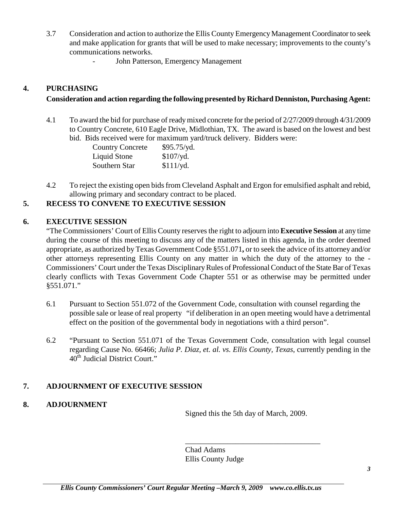- 3.7 Consideration and action to authorize the Ellis County Emergency Management Coordinator to seek and make application for grants that will be used to make necessary; improvements to the county's communications networks.
	- John Patterson, Emergency Management

## **4. PURCHASING**

# **Consideration and action regarding the following presented by Richard Denniston, Purchasing Agent:**

4.1 To award the bid for purchase of ready mixed concrete for the period of 2/27/2009 through 4/31/2009 to Country Concrete, 610 Eagle Drive, Midlothian, TX. The award is based on the lowest and best bid. Bids received were for maximum yard/truck delivery. Bidders were:

| <b>Country Concrete</b> | \$95.75/yd. |
|-------------------------|-------------|
| Liquid Stone            | $$107$ /yd. |
| Southern Star           | $$111$ /yd. |

4.2 To reject the existing open bids from Cleveland Asphalt and Ergon for emulsified asphalt and rebid, allowing primary and secondary contract to be placed.

## **5. RECESS TO CONVENE TO EXECUTIVE SESSION**

## **6. EXECUTIVE SESSION**

"The Commissioners' Court of Ellis County reserves the right to adjourn into **Executive Session** at any time during the course of this meeting to discuss any of the matters listed in this agenda, in the order deemed appropriate, as authorized by Texas Government Code §551.071**,** or to seek the advice of its attorney and/or other attorneys representing Ellis County on any matter in which the duty of the attorney to the - Commissioners' Court under the Texas Disciplinary Rules of Professional Conduct of the State Bar of Texas clearly conflicts with Texas Government Code Chapter 551 or as otherwise may be permitted under §551.071."

- 6.1 Pursuant to Section 551.072 of the Government Code, consultation with counsel regarding the possible sale or lease of real property "if deliberation in an open meeting would have a detrimental effect on the position of the governmental body in negotiations with a third person".
- 6.2 "Pursuant to Section 551.071 of the Texas Government Code, consultation with legal counsel regarding Cause No. 66466; *Julia P. Diaz, et. al. vs. Ellis County, Texas*, currently pending in the  $40<sup>th</sup>$  Judicial District Court."

# **7. ADJOURNMENT OF EXECUTIVE SESSION**

## **8. ADJOURNMENT**

Signed this the 5th day of March, 2009.

\_\_\_\_\_\_\_\_\_\_\_\_\_\_\_\_\_\_\_\_\_\_\_\_\_\_\_\_\_\_\_\_\_\_\_

Chad Adams Ellis County Judge